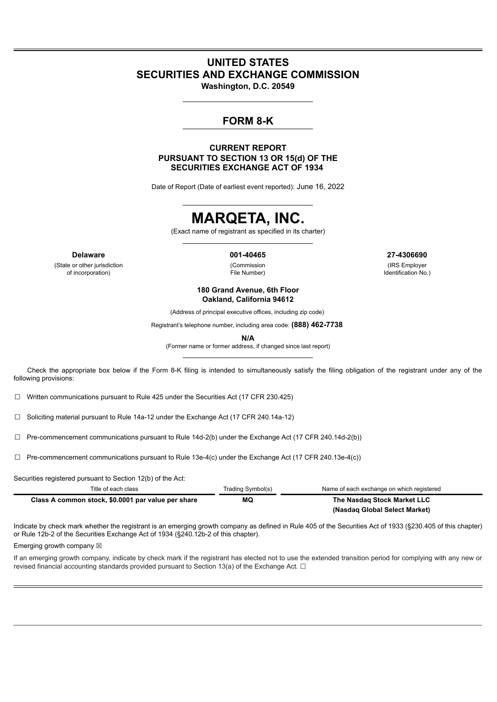# **UNITED STATES SECURITIES AND EXCHANGE COMMISSION**

**Washington, D.C. 20549**

# **FORM 8-K**

### **CURRENT REPORT PURSUANT TO SECTION 13 OR 15(d) OF THE SECURITIES EXCHANGE ACT OF 1934**

Date of Report (Date of earliest event reported): June 16, 2022

# **MARQETA, INC.**

(Exact name of registrant as specified in its charter)

(State or other jurisdiction of incorporation)

(Commission File Number)

**Delaware 001-40465 27-4306690**

(IRS Employer Identification No.)

**180 Grand Avenue, 6th Floor Oakland, California 94612**

(Address of principal executive offices, including zip code)

Registrant's telephone number, including area code: **(888) 462-7738**

**N/A**

(Former name or former address, if changed since last report)

Check the appropriate box below if the Form 8-K filing is intended to simultaneously satisfy the filing obligation of the registrant under any of the following provisions:

☐ Written communications pursuant to Rule 425 under the Securities Act (17 CFR 230.425)

☐ Soliciting material pursuant to Rule 14a-12 under the Exchange Act (17 CFR 240.14a-12)

 $\Box$  Pre-commencement communications pursuant to Rule 14d-2(b) under the Exchange Act (17 CFR 240.14d-2(b))

☐ Pre-commencement communications pursuant to Rule 13e-4(c) under the Exchange Act (17 CFR 240.13e-4(c))

Securities registered pursuant to Section 12(b) of the Act:

| Title of each class                                | Trading Symbol(s) | Name of each exchange on which registered |
|----------------------------------------------------|-------------------|-------------------------------------------|
| Class A common stock, \$0.0001 par value per share | MQ                | The Nasdag Stock Market LLC               |
|                                                    |                   | (Nasdag Global Select Market)             |

Indicate by check mark whether the registrant is an emerging growth company as defined in Rule 405 of the Securities Act of 1933 (§230.405 of this chapter) or Rule 12b-2 of the Securities Exchange Act of 1934 (§240.12b-2 of this chapter).

Emerging growth company  $\boxtimes$ 

If an emerging growth company, indicate by check mark if the registrant has elected not to use the extended transition period for complying with any new or revised financial accounting standards provided pursuant to Section 13(a) of the Exchange Act.  $\Box$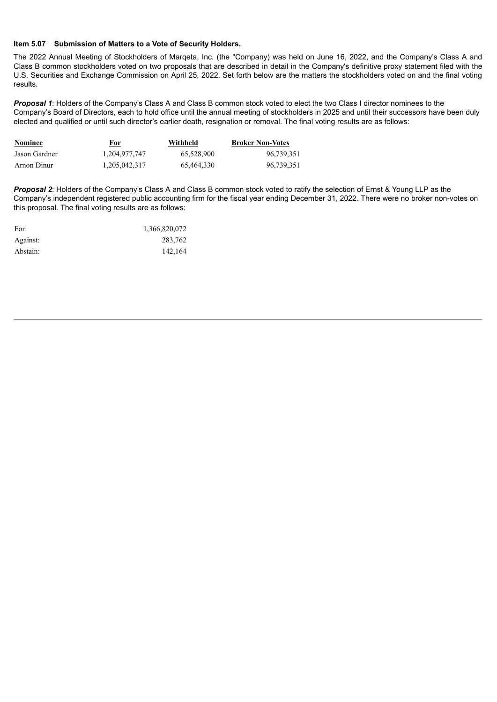#### **Item 5.07 Submission of Matters to a Vote of Security Holders.**

The 2022 Annual Meeting of Stockholders of Marqeta, Inc. (the "Company) was held on June 16, 2022, and the Company's Class A and Class B common stockholders voted on two proposals that are described in detail in the Company's definitive proxy statement filed with the U.S. Securities and Exchange Commission on April 25, 2022. Set forth below are the matters the stockholders voted on and the final voting results.

*Proposal 1*: Holders of the Company's Class A and Class B common stock voted to elect the two Class I director nominees to the Company's Board of Directors, each to hold office until the annual meeting of stockholders in 2025 and until their successors have been duly elected and qualified or until such director's earlier death, resignation or removal. The final voting results are as follows:

| <b>Nominee</b> | <u>For</u>       | Withheld   | <b>Broker Non-Votes</b> |
|----------------|------------------|------------|-------------------------|
| Jason Gardner  | 1.204.977.747    | 65.528.900 | 96.739.351              |
| Arnon Dinur    | 1, 205, 042, 317 | 65.464.330 | 96.739.351              |

*Proposal 2*: Holders of the Company's Class A and Class B common stock voted to ratify the selection of Ernst & Young LLP as the Company's independent registered public accounting firm for the fiscal year ending December 31, 2022. There were no broker non-votes on this proposal. The final voting results are as follows:

| For:     | 1,366,820,072 |
|----------|---------------|
| Against: | 283,762       |
| Abstain: | 142,164       |